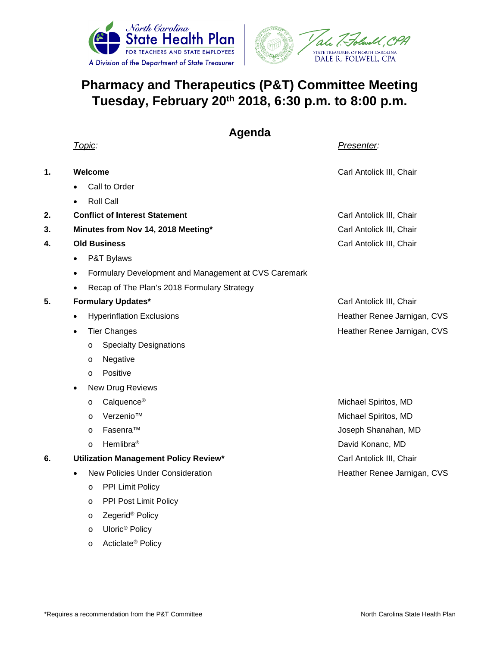



## **Pharmacy and Therapeutics (P&T) Committee Meeting Tuesday, February 20th 2018, 6:30 p.m. to 8:00 p.m.**

|    | Agenda                                                            |                             |
|----|-------------------------------------------------------------------|-----------------------------|
|    | Topic:                                                            | Presenter:                  |
| 1. | Welcome                                                           | Carl Antolick III, Chair    |
|    | Call to Order                                                     |                             |
|    | <b>Roll Call</b>                                                  |                             |
| 2. | <b>Conflict of Interest Statement</b>                             | Carl Antolick III, Chair    |
| 3. | Minutes from Nov 14, 2018 Meeting*                                | Carl Antolick III, Chair    |
| 4. | <b>Old Business</b>                                               | Carl Antolick III, Chair    |
|    | P&T Bylaws<br>$\bullet$                                           |                             |
|    | Formulary Development and Management at CVS Caremark<br>$\bullet$ |                             |
|    | Recap of The Plan's 2018 Formulary Strategy                       |                             |
| 5. | <b>Formulary Updates*</b>                                         | Carl Antolick III, Chair    |
|    | <b>Hyperinflation Exclusions</b><br>$\bullet$                     | Heather Renee Jarnigan, CVS |
|    | <b>Tier Changes</b><br>$\bullet$                                  | Heather Renee Jarnigan, CVS |
|    | <b>Specialty Designations</b><br>O                                |                             |
|    | Negative<br>O                                                     |                             |
|    | Positive<br>$\circ$                                               |                             |
|    | New Drug Reviews<br>$\bullet$                                     |                             |
|    | Calquence <sup>®</sup><br>$\circ$                                 | Michael Spiritos, MD        |
|    | Verzenio™<br>$\circ$                                              | Michael Spiritos, MD        |
|    | Fasenra™<br>$\circ$                                               | Joseph Shanahan, MD         |
|    | Hemlibra <sup>®</sup><br>$\circ$                                  | David Konanc, MD            |
| 6. | Utilization Management Policy Review*                             | Carl Antolick III, Chair    |
|    | <b>New Policies Under Consideration</b><br>$\bullet$              | Heather Renee Jarnigan, CVS |
|    | PPI Limit Policy<br>$\circ$                                       |                             |
|    | PPI Post Limit Policy<br>$\circ$                                  |                             |
|    | Zegerid <sup>®</sup> Policy<br>$\circ$                            |                             |

o Uloric® Policy o Acticlate® Policy